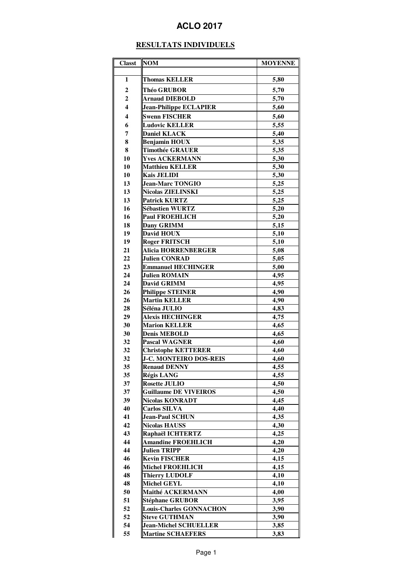## **ACLO 2017**

## **RESULTATS INDIVIDUELS**

| <b>Classt</b>    | <b>NOM</b>                     | <b>MOYENNE</b> |
|------------------|--------------------------------|----------------|
|                  |                                |                |
| 1                | <b>Thomas KELLER</b>           | 5,80           |
| $\boldsymbol{2}$ | Théo GRUBOR                    | 5,70           |
| $\mathbf 2$      | <b>Arnaud DIEBOLD</b>          | 5,70           |
| 4                | <b>Jean-Philippe ECLAPIER</b>  | 5,60           |
| 4                | <b>Swenn FISCHER</b>           | 5,60           |
| 6                | <b>Ludovic KELLER</b>          | 5,55           |
| 7                | <b>Daniel KLACK</b>            | 5,40           |
| 8                | <b>Benjamin HOUX</b>           | 5.35           |
| 8                | <b>Timothée GRAUER</b>         | 5,35           |
| 10               | <b>Yves ACKERMANN</b>          | 5,30           |
| 10               | <b>Matthieu KELLER</b>         | 5,30           |
| 10               | <b>Kais JELIDI</b>             | 5,30           |
| 13               | <b>Jean-Marc TONGIO</b>        | 5,25           |
| 13               | <b>Nicolas ZIELINSKI</b>       | 5,25           |
| 13               | <b>Patrick KURTZ</b>           | 5,25           |
| 16               | <b>Sébastien WURTZ</b>         | 5,20           |
| 16               | <b>Paul FROEHLICH</b>          | 5,20           |
| 18               | Dany GRIMM                     | 5,15           |
| 19               | David HOUX                     | 5,10           |
| 19               | <b>Roger FRITSCH</b>           | 5,10           |
| 21               | Alicia HORRENBERGER            | 5,08           |
| 22               | <b>Julien CONRAD</b>           | 5,05           |
| 23               | <b>Emmanuel HECHINGER</b>      | 5,00           |
| 24               | <b>Julien ROMAIN</b>           | 4,95           |
| 24               | <b>David GRIMM</b>             | 4,95           |
| 26               | <b>Philippe STEINER</b>        | 4,90           |
| 26               | <b>Martin KELLER</b>           | 4,90           |
| 28               | Séléna JULIO                   | 4,83           |
| 29               | <b>Alexis HECHINGER</b>        | 4,75           |
| 30               | <b>Marion KELLER</b>           | 4,65           |
| 30               | <b>Denis MEBOLD</b>            | 4,65           |
| 32               | <b>Pascal WAGNER</b>           | 4,60           |
| 32               | <b>Christophe KETTERER</b>     | 4,60           |
| 32               | <b>J-C. MONTEIRO DOS-REIS</b>  | 4,60           |
| 35               | <b>Renaud DENNY</b>            | 4,55           |
| 35               | <b>Régis LANG</b>              | 4,55           |
| 37               | <b>Rosette JULIO</b>           | 4,50           |
| 37               | <b>Guillaume DE VIVEIROS</b>   | 4,50           |
| 39               | <b>Nicolas KONRADT</b>         | 4,45           |
| 40               | <b>Carlos SILVA</b>            | 4,40           |
| 41               | Jean-Paul SCHUN                | 4,35           |
| 42               | <b>Nicolas HAUSS</b>           | 4,30           |
| 43               | Raphaël ICHTERTZ               | 4,25           |
| 44               | <b>Amandine FROEHLICH</b>      | 4,20           |
| 44               | <b>Julien TRIPP</b>            | 4,20           |
| 46               | <b>Kevin FISCHER</b>           | 4,15           |
| 46               | <b>Michel FROEHLICH</b>        | 4,15           |
| 48               | <b>Thierry LUDOLF</b>          | 4,10           |
| 48               | <b>Michel GEYL</b>             | 4,10           |
| 50               | Maithé ACKERMANN               | 4,00           |
| 51               | <b>Stéphane GRUBOR</b>         | 3,95           |
| 52               | <b>Louis-Charles GONNACHON</b> | 3,90           |
| 52               | <b>Steve GUTHMAN</b>           | 3,90           |
| 54               | <b>Jean-Michel SCHUELLER</b>   | 3,85           |
| 55               | <b>Martine SCHAEFERS</b>       | 3,83           |